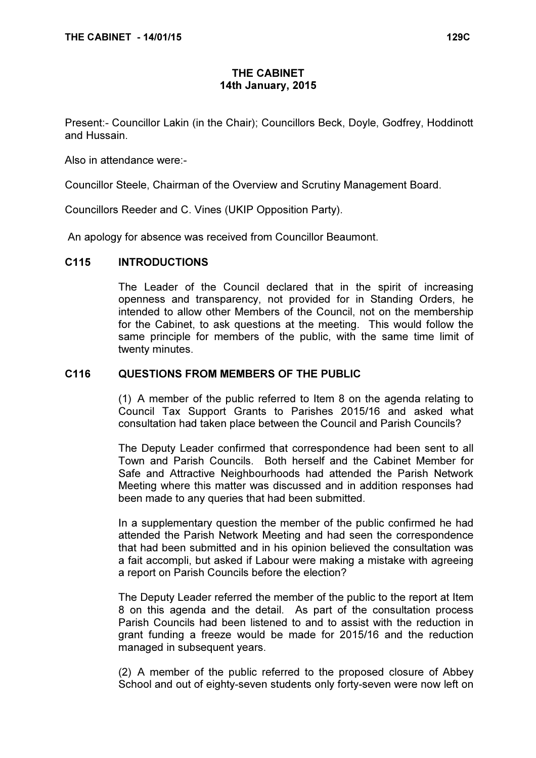# THE CABINET 14th January, 2015

Present:- Councillor Lakin (in the Chair); Councillors Beck, Doyle, Godfrey, Hoddinott and Hussain.

Also in attendance were:-

Councillor Steele, Chairman of the Overview and Scrutiny Management Board.

Councillors Reeder and C. Vines (UKIP Opposition Party).

An apology for absence was received from Councillor Beaumont.

#### C115 INTRODUCTIONS

 The Leader of the Council declared that in the spirit of increasing openness and transparency, not provided for in Standing Orders, he intended to allow other Members of the Council, not on the membership for the Cabinet, to ask questions at the meeting. This would follow the same principle for members of the public, with the same time limit of twenty minutes.

#### C116 QUESTIONS FROM MEMBERS OF THE PUBLIC

 (1) A member of the public referred to Item 8 on the agenda relating to Council Tax Support Grants to Parishes 2015/16 and asked what consultation had taken place between the Council and Parish Councils?

The Deputy Leader confirmed that correspondence had been sent to all Town and Parish Councils. Both herself and the Cabinet Member for Safe and Attractive Neighbourhoods had attended the Parish Network Meeting where this matter was discussed and in addition responses had been made to any queries that had been submitted.

In a supplementary question the member of the public confirmed he had attended the Parish Network Meeting and had seen the correspondence that had been submitted and in his opinion believed the consultation was a fait accompli, but asked if Labour were making a mistake with agreeing a report on Parish Councils before the election?

The Deputy Leader referred the member of the public to the report at Item 8 on this agenda and the detail. As part of the consultation process Parish Councils had been listened to and to assist with the reduction in grant funding a freeze would be made for 2015/16 and the reduction managed in subsequent years.

(2) A member of the public referred to the proposed closure of Abbey School and out of eighty-seven students only forty-seven were now left on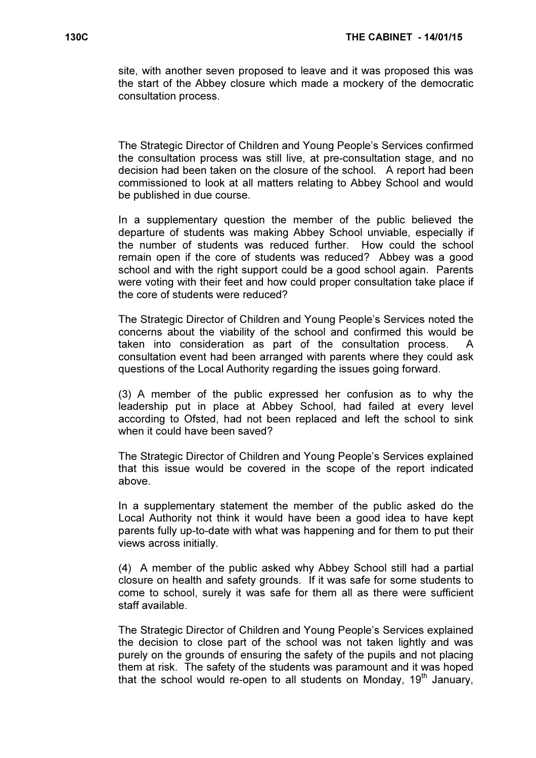site, with another seven proposed to leave and it was proposed this was the start of the Abbey closure which made a mockery of the democratic consultation process.

The Strategic Director of Children and Young People's Services confirmed the consultation process was still live, at pre-consultation stage, and no decision had been taken on the closure of the school. A report had been commissioned to look at all matters relating to Abbey School and would be published in due course.

In a supplementary question the member of the public believed the departure of students was making Abbey School unviable, especially if the number of students was reduced further. How could the school remain open if the core of students was reduced? Abbey was a good school and with the right support could be a good school again. Parents were voting with their feet and how could proper consultation take place if the core of students were reduced?

The Strategic Director of Children and Young People's Services noted the concerns about the viability of the school and confirmed this would be taken into consideration as part of the consultation process. A consultation event had been arranged with parents where they could ask questions of the Local Authority regarding the issues going forward.

(3) A member of the public expressed her confusion as to why the leadership put in place at Abbey School, had failed at every level according to Ofsted, had not been replaced and left the school to sink when it could have been saved?

The Strategic Director of Children and Young People's Services explained that this issue would be covered in the scope of the report indicated above.

In a supplementary statement the member of the public asked do the Local Authority not think it would have been a good idea to have kept parents fully up-to-date with what was happening and for them to put their views across initially.

(4) A member of the public asked why Abbey School still had a partial closure on health and safety grounds. If it was safe for some students to come to school, surely it was safe for them all as there were sufficient staff available.

The Strategic Director of Children and Young People's Services explained the decision to close part of the school was not taken lightly and was purely on the grounds of ensuring the safety of the pupils and not placing them at risk. The safety of the students was paramount and it was hoped that the school would re-open to all students on Monday,  $19<sup>th</sup>$  January,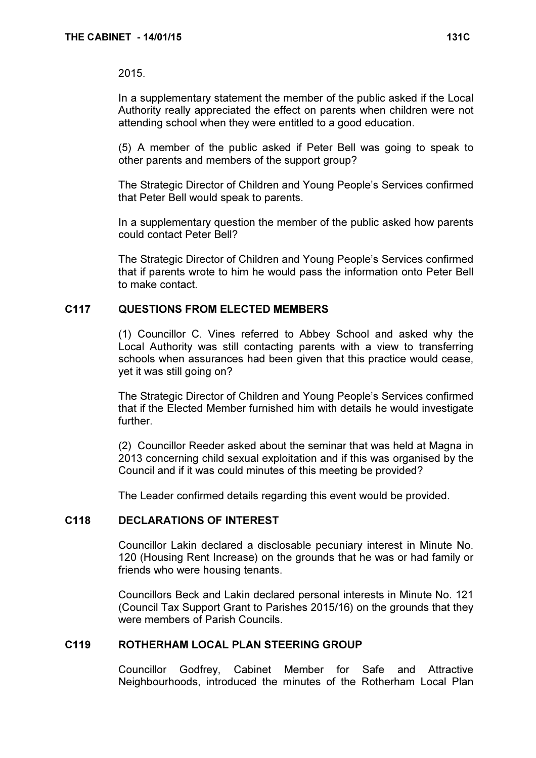#### 2015.

In a supplementary statement the member of the public asked if the Local Authority really appreciated the effect on parents when children were not attending school when they were entitled to a good education.

(5) A member of the public asked if Peter Bell was going to speak to other parents and members of the support group?

The Strategic Director of Children and Young People's Services confirmed that Peter Bell would speak to parents.

In a supplementary question the member of the public asked how parents could contact Peter Bell?

The Strategic Director of Children and Young People's Services confirmed that if parents wrote to him he would pass the information onto Peter Bell to make contact.

## C117 QUESTIONS FROM ELECTED MEMBERS

 (1) Councillor C. Vines referred to Abbey School and asked why the Local Authority was still contacting parents with a view to transferring schools when assurances had been given that this practice would cease, yet it was still going on?

The Strategic Director of Children and Young People's Services confirmed that if the Elected Member furnished him with details he would investigate further.

(2) Councillor Reeder asked about the seminar that was held at Magna in 2013 concerning child sexual exploitation and if this was organised by the Council and if it was could minutes of this meeting be provided?

The Leader confirmed details regarding this event would be provided.

#### C118 DECLARATIONS OF INTEREST

 Councillor Lakin declared a disclosable pecuniary interest in Minute No. 120 (Housing Rent Increase) on the grounds that he was or had family or friends who were housing tenants.

Councillors Beck and Lakin declared personal interests in Minute No. 121 (Council Tax Support Grant to Parishes 2015/16) on the grounds that they were members of Parish Councils.

# C119 ROTHERHAM LOCAL PLAN STEERING GROUP

 Councillor Godfrey, Cabinet Member for Safe and Attractive Neighbourhoods, introduced the minutes of the Rotherham Local Plan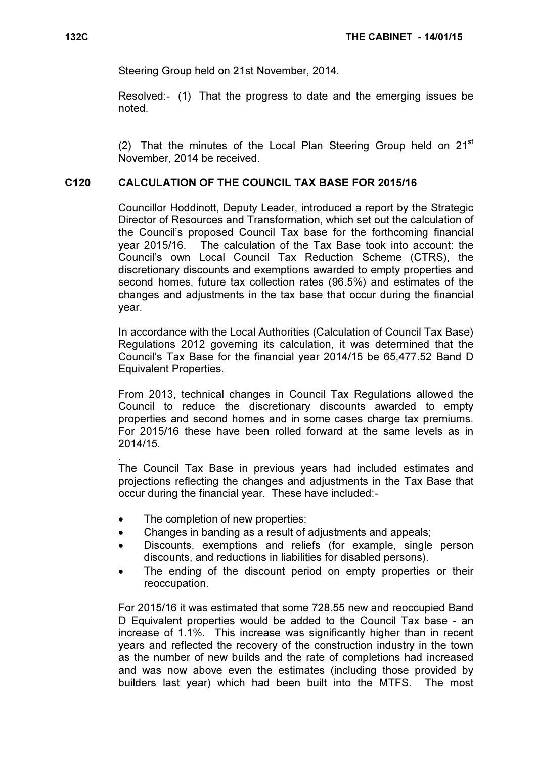Steering Group held on 21st November, 2014.

Resolved:- (1) That the progress to date and the emerging issues be noted.

(2) That the minutes of the Local Plan Steering Group held on  $21<sup>st</sup>$ November, 2014 be received.

## C120 CALCULATION OF THE COUNCIL TAX BASE FOR 2015/16

 Councillor Hoddinott, Deputy Leader, introduced a report by the Strategic Director of Resources and Transformation, which set out the calculation of the Council's proposed Council Tax base for the forthcoming financial year 2015/16. The calculation of the Tax Base took into account: the Council's own Local Council Tax Reduction Scheme (CTRS), the discretionary discounts and exemptions awarded to empty properties and second homes, future tax collection rates (96.5%) and estimates of the changes and adjustments in the tax base that occur during the financial year.

In accordance with the Local Authorities (Calculation of Council Tax Base) Regulations 2012 governing its calculation, it was determined that the Council's Tax Base for the financial year 2014/15 be 65,477.52 Band D Equivalent Properties.

From 2013, technical changes in Council Tax Regulations allowed the Council to reduce the discretionary discounts awarded to empty properties and second homes and in some cases charge tax premiums. For 2015/16 these have been rolled forward at the same levels as in 2014/15.

. The Council Tax Base in previous years had included estimates and projections reflecting the changes and adjustments in the Tax Base that occur during the financial year. These have included:-

- The completion of new properties:
- Changes in banding as a result of adjustments and appeals;
- Discounts, exemptions and reliefs (for example, single person discounts, and reductions in liabilities for disabled persons).
- The ending of the discount period on empty properties or their reoccupation.

For 2015/16 it was estimated that some 728.55 new and reoccupied Band D Equivalent properties would be added to the Council Tax base - an increase of 1.1%. This increase was significantly higher than in recent years and reflected the recovery of the construction industry in the town as the number of new builds and the rate of completions had increased and was now above even the estimates (including those provided by builders last year) which had been built into the MTFS. The most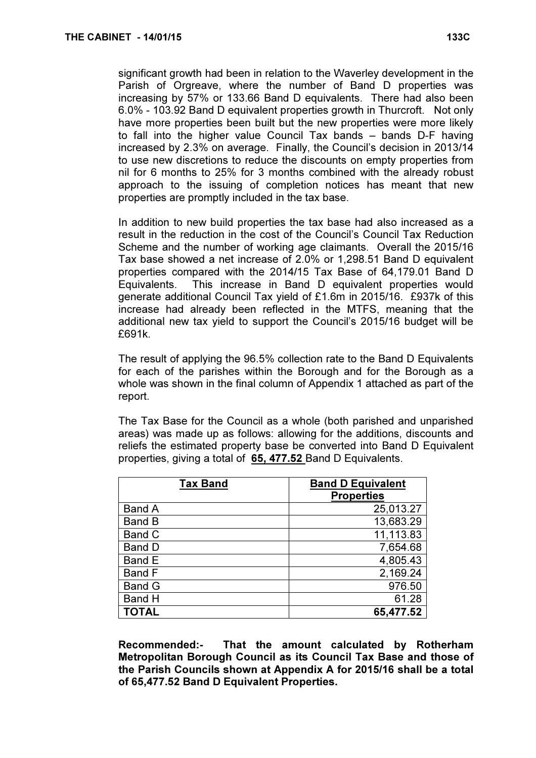significant growth had been in relation to the Waverley development in the Parish of Orgreave, where the number of Band D properties was increasing by 57% or 133.66 Band D equivalents. There had also been 6.0% - 103.92 Band D equivalent properties growth in Thurcroft. Not only have more properties been built but the new properties were more likely to fall into the higher value Council Tax bands – bands D-F having increased by 2.3% on average. Finally, the Council's decision in 2013/14 to use new discretions to reduce the discounts on empty properties from nil for 6 months to 25% for 3 months combined with the already robust approach to the issuing of completion notices has meant that new properties are promptly included in the tax base.

In addition to new build properties the tax base had also increased as a result in the reduction in the cost of the Council's Council Tax Reduction Scheme and the number of working age claimants. Overall the 2015/16 Tax base showed a net increase of 2.0% or 1,298.51 Band D equivalent properties compared with the 2014/15 Tax Base of 64,179.01 Band D Equivalents. This increase in Band D equivalent properties would generate additional Council Tax yield of £1.6m in 2015/16. £937k of this increase had already been reflected in the MTFS, meaning that the additional new tax yield to support the Council's 2015/16 budget will be £691k.

The result of applying the 96.5% collection rate to the Band D Equivalents for each of the parishes within the Borough and for the Borough as a whole was shown in the final column of Appendix 1 attached as part of the report.

The Tax Base for the Council as a whole (both parished and unparished areas) was made up as follows: allowing for the additions, discounts and reliefs the estimated property base be converted into Band D Equivalent properties, giving a total of 65, 477.52 Band D Equivalents.

| <b>Tax Band</b> | <b>Band D Equivalent</b> |
|-----------------|--------------------------|
|                 | <b>Properties</b>        |
| <b>Band A</b>   | 25,013.27                |
| <b>Band B</b>   | 13,683.29                |
| <b>Band C</b>   | 11,113.83                |
| <b>Band D</b>   | 7,654.68                 |
| Band E          | 4,805.43                 |
| <b>Band F</b>   | 2,169.24                 |
| <b>Band G</b>   | 976.50                   |
| <b>Band H</b>   | 61.28                    |
| <b>TOTAL</b>    | 65,477.52                |

Recommended:- That the amount calculated by Rotherham Metropolitan Borough Council as its Council Tax Base and those of the Parish Councils shown at Appendix A for 2015/16 shall be a total of 65,477.52 Band D Equivalent Properties.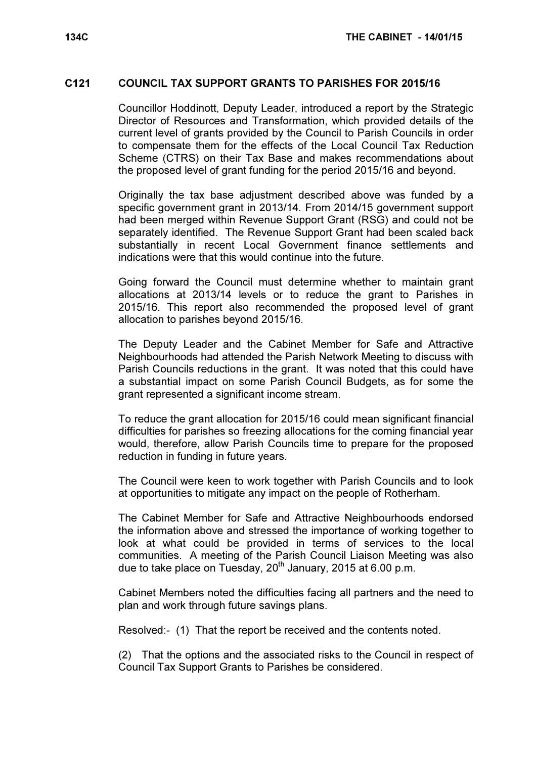#### C121 COUNCIL TAX SUPPORT GRANTS TO PARISHES FOR 2015/16

 Councillor Hoddinott, Deputy Leader, introduced a report by the Strategic Director of Resources and Transformation, which provided details of the current level of grants provided by the Council to Parish Councils in order to compensate them for the effects of the Local Council Tax Reduction Scheme (CTRS) on their Tax Base and makes recommendations about the proposed level of grant funding for the period 2015/16 and beyond.

Originally the tax base adjustment described above was funded by a specific government grant in 2013/14. From 2014/15 government support had been merged within Revenue Support Grant (RSG) and could not be separately identified. The Revenue Support Grant had been scaled back substantially in recent Local Government finance settlements and indications were that this would continue into the future.

Going forward the Council must determine whether to maintain grant allocations at 2013/14 levels or to reduce the grant to Parishes in 2015/16. This report also recommended the proposed level of grant allocation to parishes beyond 2015/16.

The Deputy Leader and the Cabinet Member for Safe and Attractive Neighbourhoods had attended the Parish Network Meeting to discuss with Parish Councils reductions in the grant. It was noted that this could have a substantial impact on some Parish Council Budgets, as for some the grant represented a significant income stream.

To reduce the grant allocation for 2015/16 could mean significant financial difficulties for parishes so freezing allocations for the coming financial year would, therefore, allow Parish Councils time to prepare for the proposed reduction in funding in future years.

The Council were keen to work together with Parish Councils and to look at opportunities to mitigate any impact on the people of Rotherham.

The Cabinet Member for Safe and Attractive Neighbourhoods endorsed the information above and stressed the importance of working together to look at what could be provided in terms of services to the local communities. A meeting of the Parish Council Liaison Meeting was also due to take place on Tuesday,  $20^{th}$  January, 2015 at 6.00 p.m.

Cabinet Members noted the difficulties facing all partners and the need to plan and work through future savings plans.

Resolved:- (1) That the report be received and the contents noted.

(2) That the options and the associated risks to the Council in respect of Council Tax Support Grants to Parishes be considered.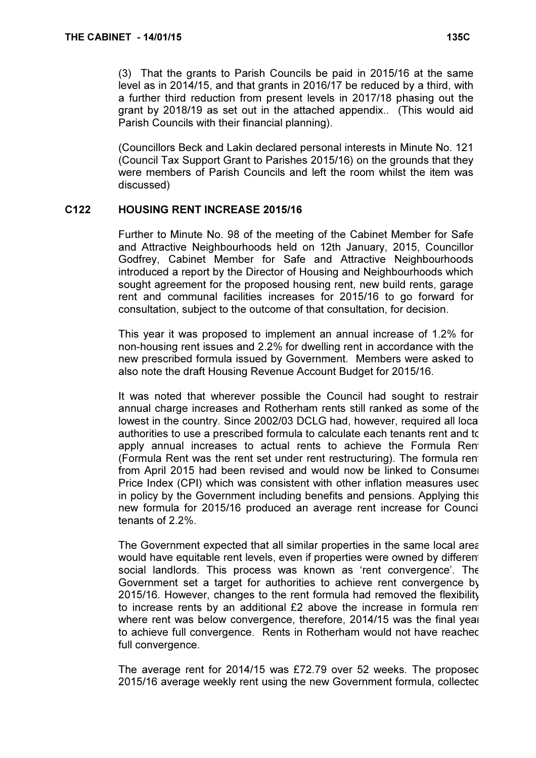(3) That the grants to Parish Councils be paid in 2015/16 at the same level as in 2014/15, and that grants in 2016/17 be reduced by a third, with a further third reduction from present levels in 2017/18 phasing out the grant by 2018/19 as set out in the attached appendix.. (This would aid Parish Councils with their financial planning).

(Councillors Beck and Lakin declared personal interests in Minute No. 121 (Council Tax Support Grant to Parishes 2015/16) on the grounds that they were members of Parish Councils and left the room whilst the item was discussed)

## C122 HOUSING RENT INCREASE 2015/16

 Further to Minute No. 98 of the meeting of the Cabinet Member for Safe and Attractive Neighbourhoods held on 12th January, 2015, Councillor Godfrey, Cabinet Member for Safe and Attractive Neighbourhoods introduced a report by the Director of Housing and Neighbourhoods which sought agreement for the proposed housing rent, new build rents, garage rent and communal facilities increases for 2015/16 to go forward for consultation, subject to the outcome of that consultation, for decision.

This year it was proposed to implement an annual increase of 1.2% for non-housing rent issues and 2.2% for dwelling rent in accordance with the new prescribed formula issued by Government. Members were asked to also note the draft Housing Revenue Account Budget for 2015/16.

It was noted that wherever possible the Council had sought to restrain annual charge increases and Rotherham rents still ranked as some of the lowest in the country. Since 2002/03 DCLG had, however, required all local authorities to use a prescribed formula to calculate each tenants rent and to apply annual increases to actual rents to achieve the Formula Rent (Formula Rent was the rent set under rent restructuring). The formula rent from April 2015 had been revised and would now be linked to Consumer Price Index (CPI) which was consistent with other inflation measures used in policy by the Government including benefits and pensions. Applying this new formula for 2015/16 produced an average rent increase for Council tenants of 2.2%.

The Government expected that all similar properties in the same local area would have equitable rent levels, even if properties were owned by different social landlords. This process was known as 'rent convergence'. The Government set a target for authorities to achieve rent convergence by 2015/16. However, changes to the rent formula had removed the flexibility to increase rents by an additional £2 above the increase in formula rent where rent was below convergence, therefore, 2014/15 was the final year to achieve full convergence. Rents in Rotherham would not have reached full convergence.

The average rent for 2014/15 was £72.79 over 52 weeks. The proposed 2015/16 average weekly rent using the new Government formula, collected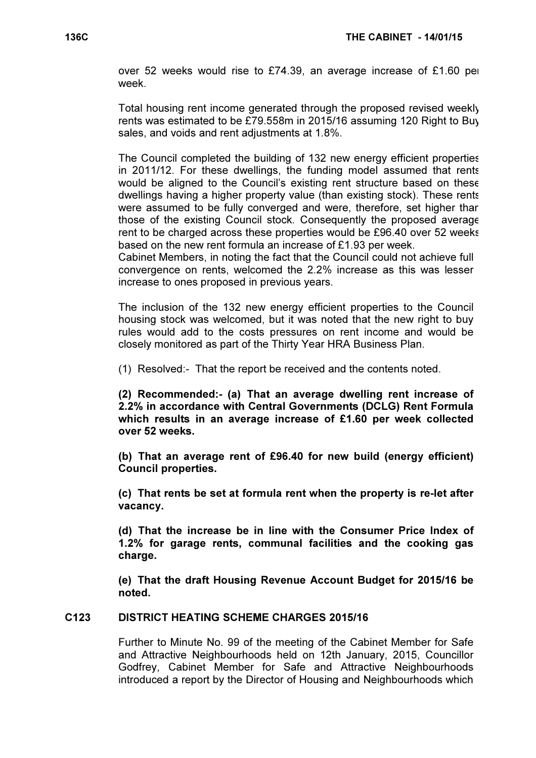over 52 weeks would rise to £74.39, an average increase of £1.60 per week.

Total housing rent income generated through the proposed revised weekly rents was estimated to be £79.558m in 2015/16 assuming 120 Right to Buy sales, and voids and rent adjustments at 1.8%.

The Council completed the building of 132 new energy efficient properties in 2011/12. For these dwellings, the funding model assumed that rents would be aligned to the Council's existing rent structure based on these dwellings having a higher property value (than existing stock). These rents were assumed to be fully converged and were, therefore, set higher than those of the existing Council stock. Consequently the proposed average rent to be charged across these properties would be £96.40 over 52 weeks based on the new rent formula an increase of £1.93 per week.

Cabinet Members, in noting the fact that the Council could not achieve full convergence on rents, welcomed the 2.2% increase as this was lesser increase to ones proposed in previous years.

The inclusion of the 132 new energy efficient properties to the Council housing stock was welcomed, but it was noted that the new right to buy rules would add to the costs pressures on rent income and would be closely monitored as part of the Thirty Year HRA Business Plan.

(1) Resolved:- That the report be received and the contents noted.

(2) Recommended:- (a) That an average dwelling rent increase of 2.2% in accordance with Central Governments (DCLG) Rent Formula which results in an average increase of £1.60 per week collected over 52 weeks.

(b) That an average rent of £96.40 for new build (energy efficient) Council properties.

(c) That rents be set at formula rent when the property is re-let after vacancy.

(d) That the increase be in line with the Consumer Price Index of 1.2% for garage rents, communal facilities and the cooking gas charge.

(e) That the draft Housing Revenue Account Budget for 2015/16 be noted.

#### C123 DISTRICT HEATING SCHEME CHARGES 2015/16

 Further to Minute No. 99 of the meeting of the Cabinet Member for Safe and Attractive Neighbourhoods held on 12th January, 2015, Councillor Godfrey, Cabinet Member for Safe and Attractive Neighbourhoods introduced a report by the Director of Housing and Neighbourhoods which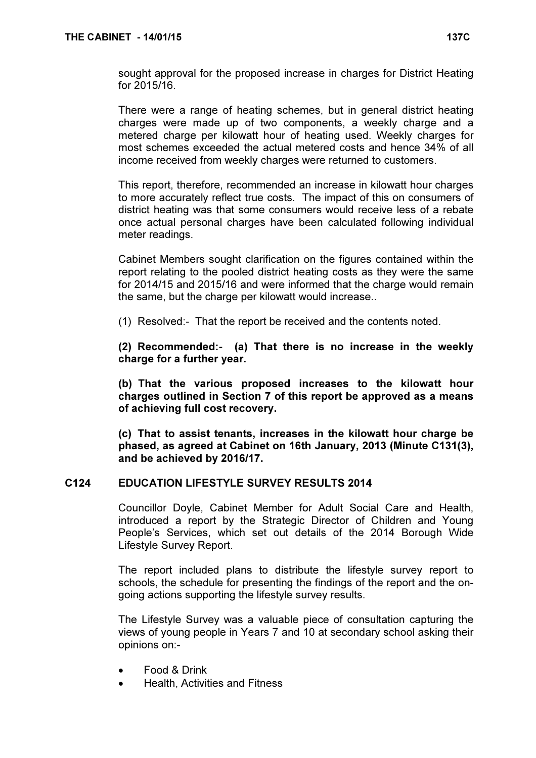sought approval for the proposed increase in charges for District Heating for 2015/16.

There were a range of heating schemes, but in general district heating charges were made up of two components, a weekly charge and a metered charge per kilowatt hour of heating used. Weekly charges for most schemes exceeded the actual metered costs and hence 34% of all income received from weekly charges were returned to customers.

This report, therefore, recommended an increase in kilowatt hour charges to more accurately reflect true costs. The impact of this on consumers of district heating was that some consumers would receive less of a rebate once actual personal charges have been calculated following individual meter readings.

Cabinet Members sought clarification on the figures contained within the report relating to the pooled district heating costs as they were the same for 2014/15 and 2015/16 and were informed that the charge would remain the same, but the charge per kilowatt would increase..

(1) Resolved:- That the report be received and the contents noted.

(2) Recommended:- (a) That there is no increase in the weekly charge for a further year.

(b) That the various proposed increases to the kilowatt hour charges outlined in Section 7 of this report be approved as a means of achieving full cost recovery.

(c) That to assist tenants, increases in the kilowatt hour charge be phased, as agreed at Cabinet on 16th January, 2013 (Minute C131(3), and be achieved by 2016/17.

## C124 EDUCATION LIFESTYLE SURVEY RESULTS 2014

 Councillor Doyle, Cabinet Member for Adult Social Care and Health, introduced a report by the Strategic Director of Children and Young People's Services, which set out details of the 2014 Borough Wide Lifestyle Survey Report.

The report included plans to distribute the lifestyle survey report to schools, the schedule for presenting the findings of the report and the ongoing actions supporting the lifestyle survey results.

The Lifestyle Survey was a valuable piece of consultation capturing the views of young people in Years 7 and 10 at secondary school asking their opinions on:-

- Food & Drink
- Health, Activities and Fitness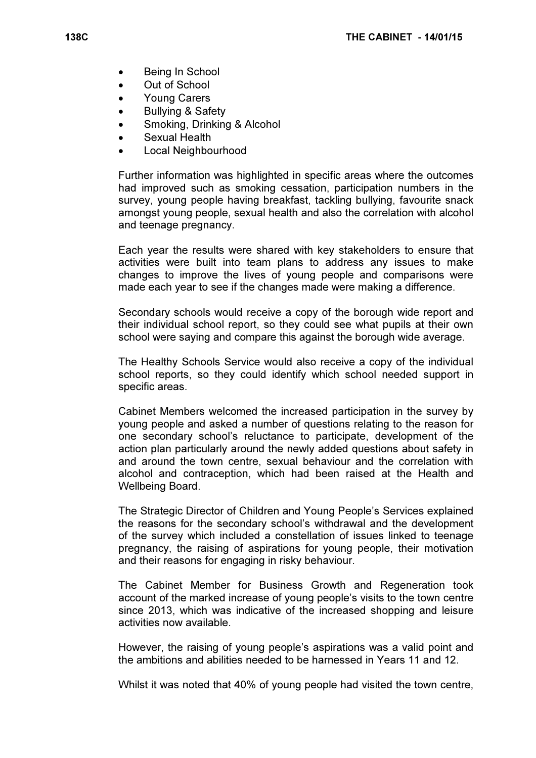- Being In School
- Out of School
- Young Carers
- Bullying & Safety
- Smoking, Drinking & Alcohol
- Sexual Health
- Local Neighbourhood

Further information was highlighted in specific areas where the outcomes had improved such as smoking cessation, participation numbers in the survey, young people having breakfast, tackling bullying, favourite snack amongst young people, sexual health and also the correlation with alcohol and teenage pregnancy.

Each year the results were shared with key stakeholders to ensure that activities were built into team plans to address any issues to make changes to improve the lives of young people and comparisons were made each year to see if the changes made were making a difference.

Secondary schools would receive a copy of the borough wide report and their individual school report, so they could see what pupils at their own school were saying and compare this against the borough wide average.

The Healthy Schools Service would also receive a copy of the individual school reports, so they could identify which school needed support in specific areas.

Cabinet Members welcomed the increased participation in the survey by young people and asked a number of questions relating to the reason for one secondary school's reluctance to participate, development of the action plan particularly around the newly added questions about safety in and around the town centre, sexual behaviour and the correlation with alcohol and contraception, which had been raised at the Health and Wellbeing Board.

The Strategic Director of Children and Young People's Services explained the reasons for the secondary school's withdrawal and the development of the survey which included a constellation of issues linked to teenage pregnancy, the raising of aspirations for young people, their motivation and their reasons for engaging in risky behaviour.

The Cabinet Member for Business Growth and Regeneration took account of the marked increase of young people's visits to the town centre since 2013, which was indicative of the increased shopping and leisure activities now available.

However, the raising of young people's aspirations was a valid point and the ambitions and abilities needed to be harnessed in Years 11 and 12.

Whilst it was noted that 40% of young people had visited the town centre,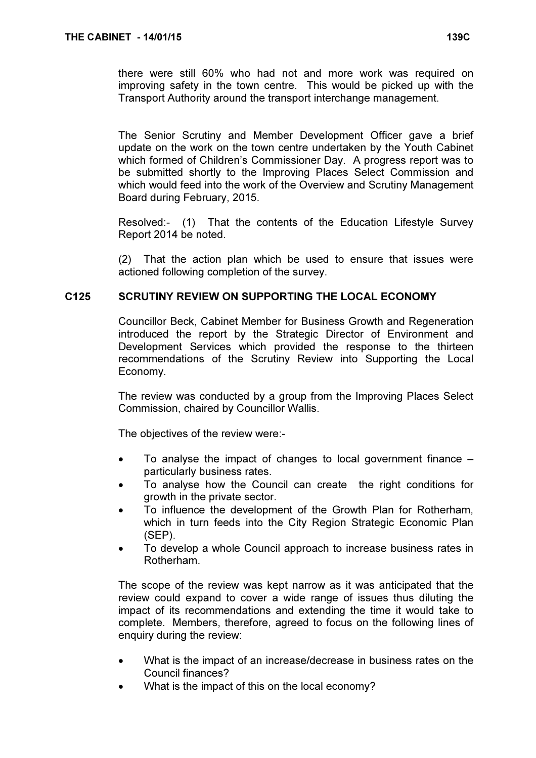there were still 60% who had not and more work was required on improving safety in the town centre. This would be picked up with the Transport Authority around the transport interchange management.

The Senior Scrutiny and Member Development Officer gave a brief update on the work on the town centre undertaken by the Youth Cabinet which formed of Children's Commissioner Day. A progress report was to be submitted shortly to the Improving Places Select Commission and which would feed into the work of the Overview and Scrutiny Management Board during February, 2015.

Resolved:- (1) That the contents of the Education Lifestyle Survey Report 2014 be noted.

(2) That the action plan which be used to ensure that issues were actioned following completion of the survey.

# C125 SCRUTINY REVIEW ON SUPPORTING THE LOCAL ECONOMY

 Councillor Beck, Cabinet Member for Business Growth and Regeneration introduced the report by the Strategic Director of Environment and Development Services which provided the response to the thirteen recommendations of the Scrutiny Review into Supporting the Local Economy.

The review was conducted by a group from the Improving Places Select Commission, chaired by Councillor Wallis.

The objectives of the review were:-

- To analyse the impact of changes to local government finance  $$ particularly business rates.
- To analyse how the Council can create the right conditions for growth in the private sector.
- To influence the development of the Growth Plan for Rotherham, which in turn feeds into the City Region Strategic Economic Plan (SEP).
- To develop a whole Council approach to increase business rates in Rotherham.

The scope of the review was kept narrow as it was anticipated that the review could expand to cover a wide range of issues thus diluting the impact of its recommendations and extending the time it would take to complete. Members, therefore, agreed to focus on the following lines of enquiry during the review:

- What is the impact of an increase/decrease in business rates on the Council finances?
- What is the impact of this on the local economy?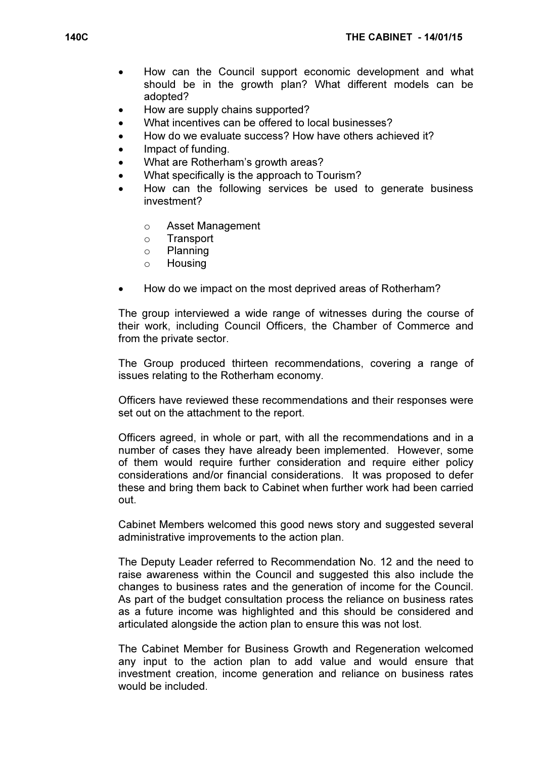- How can the Council support economic development and what should be in the growth plan? What different models can be adopted?
- How are supply chains supported?
- What incentives can be offered to local businesses?
- How do we evaluate success? How have others achieved it?
- Impact of funding.
- What are Rotherham's growth areas?
- What specifically is the approach to Tourism?
- How can the following services be used to generate business investment?
	- o Asset Management
	- o Transport
	- o Planning
	- o Housing
- How do we impact on the most deprived areas of Rotherham?

The group interviewed a wide range of witnesses during the course of their work, including Council Officers, the Chamber of Commerce and from the private sector.

The Group produced thirteen recommendations, covering a range of issues relating to the Rotherham economy.

Officers have reviewed these recommendations and their responses were set out on the attachment to the report.

Officers agreed, in whole or part, with all the recommendations and in a number of cases they have already been implemented. However, some of them would require further consideration and require either policy considerations and/or financial considerations. It was proposed to defer these and bring them back to Cabinet when further work had been carried out.

Cabinet Members welcomed this good news story and suggested several administrative improvements to the action plan.

The Deputy Leader referred to Recommendation No. 12 and the need to raise awareness within the Council and suggested this also include the changes to business rates and the generation of income for the Council. As part of the budget consultation process the reliance on business rates as a future income was highlighted and this should be considered and articulated alongside the action plan to ensure this was not lost.

The Cabinet Member for Business Growth and Regeneration welcomed any input to the action plan to add value and would ensure that investment creation, income generation and reliance on business rates would be included.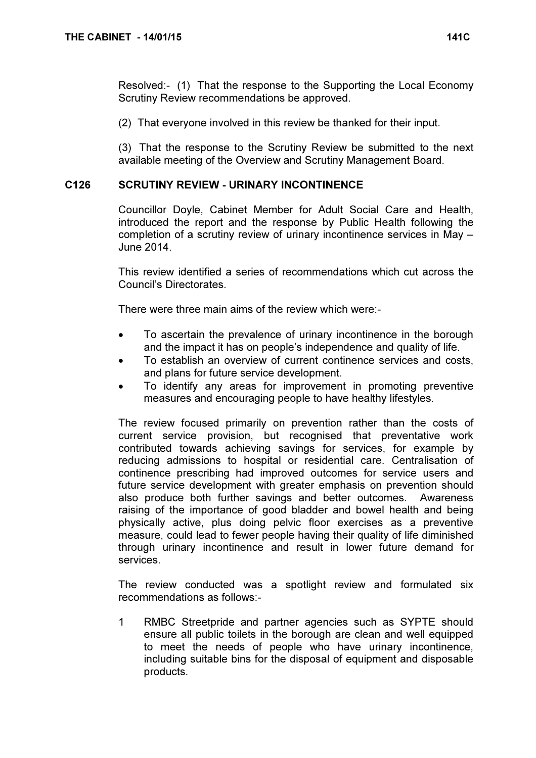Resolved:- (1) That the response to the Supporting the Local Economy Scrutiny Review recommendations be approved.

(2) That everyone involved in this review be thanked for their input.

(3) That the response to the Scrutiny Review be submitted to the next available meeting of the Overview and Scrutiny Management Board.

## C126 SCRUTINY REVIEW - URINARY INCONTINENCE

 Councillor Doyle, Cabinet Member for Adult Social Care and Health, introduced the report and the response by Public Health following the completion of a scrutiny review of urinary incontinence services in May – June 2014.

This review identified a series of recommendations which cut across the Council's Directorates.

There were three main aims of the review which were:-

- To ascertain the prevalence of urinary incontinence in the borough and the impact it has on people's independence and quality of life.
- To establish an overview of current continence services and costs, and plans for future service development.
- To identify any areas for improvement in promoting preventive measures and encouraging people to have healthy lifestyles.

The review focused primarily on prevention rather than the costs of current service provision, but recognised that preventative work contributed towards achieving savings for services, for example by reducing admissions to hospital or residential care. Centralisation of continence prescribing had improved outcomes for service users and future service development with greater emphasis on prevention should also produce both further savings and better outcomes. Awareness raising of the importance of good bladder and bowel health and being physically active, plus doing pelvic floor exercises as a preventive measure, could lead to fewer people having their quality of life diminished through urinary incontinence and result in lower future demand for services.

The review conducted was a spotlight review and formulated six recommendations as follows:-

1 RMBC Streetpride and partner agencies such as SYPTE should ensure all public toilets in the borough are clean and well equipped to meet the needs of people who have urinary incontinence, including suitable bins for the disposal of equipment and disposable products.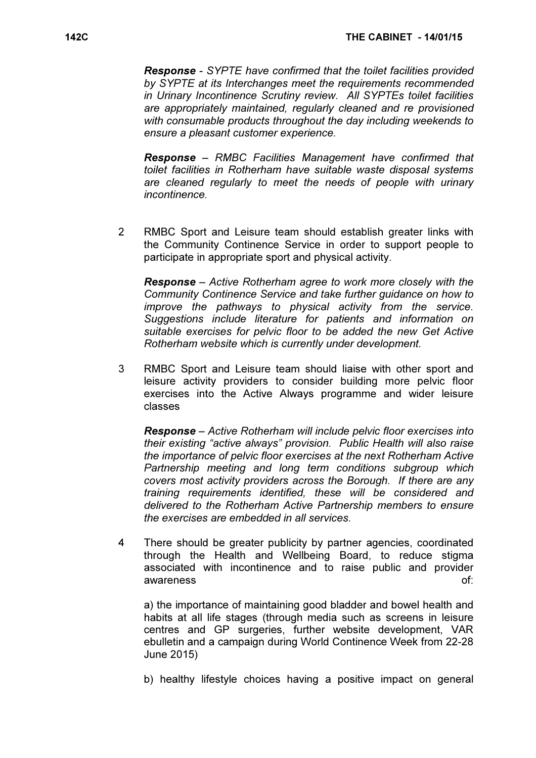Response - SYPTE have confirmed that the toilet facilities provided by SYPTE at its Interchanges meet the requirements recommended in Urinary Incontinence Scrutiny review. All SYPTEs toilet facilities are appropriately maintained, regularly cleaned and re provisioned with consumable products throughout the day including weekends to ensure a pleasant customer experience.

 Response – RMBC Facilities Management have confirmed that toilet facilities in Rotherham have suitable waste disposal systems are cleaned regularly to meet the needs of people with urinary incontinence.

2 RMBC Sport and Leisure team should establish greater links with the Community Continence Service in order to support people to participate in appropriate sport and physical activity.

 Response – Active Rotherham agree to work more closely with the Community Continence Service and take further guidance on how to improve the pathways to physical activity from the service. Suggestions include literature for patients and information on suitable exercises for pelvic floor to be added the new Get Active Rotherham website which is currently under development.

3 RMBC Sport and Leisure team should liaise with other sport and leisure activity providers to consider building more pelvic floor exercises into the Active Always programme and wider leisure classes

 Response – Active Rotherham will include pelvic floor exercises into their existing "active always" provision. Public Health will also raise the importance of pelvic floor exercises at the next Rotherham Active Partnership meeting and long term conditions subgroup which covers most activity providers across the Borough. If there are any training requirements identified, these will be considered and delivered to the Rotherham Active Partnership members to ensure the exercises are embedded in all services.

4 There should be greater publicity by partner agencies, coordinated through the Health and Wellbeing Board, to reduce stigma associated with incontinence and to raise public and provider awareness of:

a) the importance of maintaining good bladder and bowel health and habits at all life stages (through media such as screens in leisure centres and GP surgeries, further website development, VAR ebulletin and a campaign during World Continence Week from 22-28 June 2015)

b) healthy lifestyle choices having a positive impact on general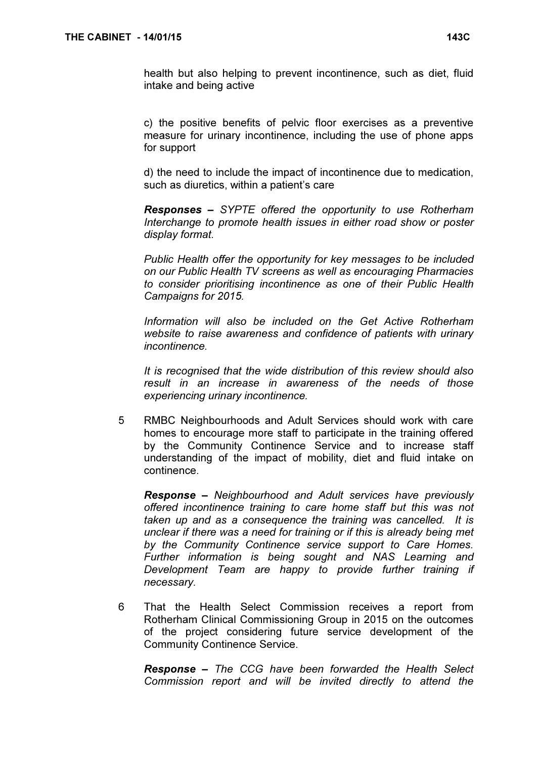health but also helping to prevent incontinence, such as diet, fluid intake and being active

c) the positive benefits of pelvic floor exercises as a preventive measure for urinary incontinence, including the use of phone apps for support

 d) the need to include the impact of incontinence due to medication, such as diuretics, within a patient's care

 Responses – SYPTE offered the opportunity to use Rotherham Interchange to promote health issues in either road show or poster display format.

 Public Health offer the opportunity for key messages to be included on our Public Health TV screens as well as encouraging Pharmacies to consider prioritising incontinence as one of their Public Health Campaigns for 2015.

 Information will also be included on the Get Active Rotherham website to raise awareness and confidence of patients with urinary incontinence.

 It is recognised that the wide distribution of this review should also result in an increase in awareness of the needs of those experiencing urinary incontinence.

5 RMBC Neighbourhoods and Adult Services should work with care homes to encourage more staff to participate in the training offered by the Community Continence Service and to increase staff understanding of the impact of mobility, diet and fluid intake on continence.

 Response – Neighbourhood and Adult services have previously offered incontinence training to care home staff but this was not taken up and as a consequence the training was cancelled. It is unclear if there was a need for training or if this is already being met by the Community Continence service support to Care Homes. Further information is being sought and NAS Learning and Development Team are happy to provide further training if necessary.

6 That the Health Select Commission receives a report from Rotherham Clinical Commissioning Group in 2015 on the outcomes of the project considering future service development of the Community Continence Service.

Response – The CCG have been forwarded the Health Select Commission report and will be invited directly to attend the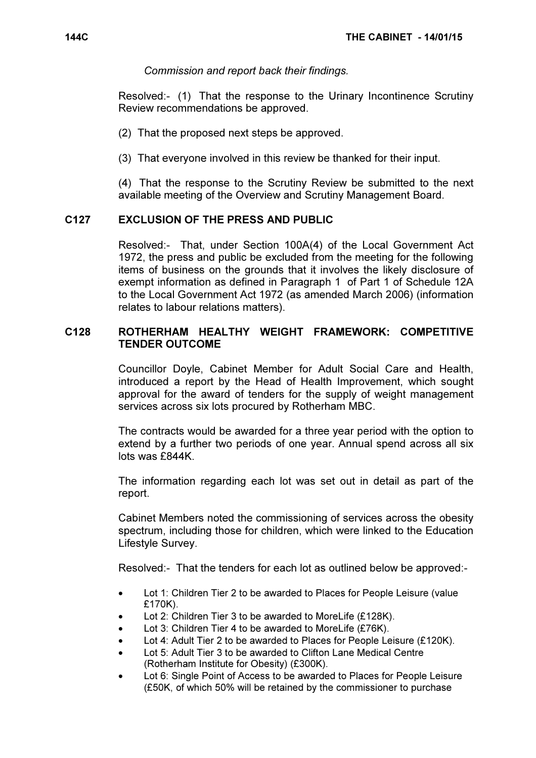Commission and report back their findings.

Resolved:- (1) That the response to the Urinary Incontinence Scrutiny Review recommendations be approved.

(2) That the proposed next steps be approved.

(3) That everyone involved in this review be thanked for their input.

(4) That the response to the Scrutiny Review be submitted to the next available meeting of the Overview and Scrutiny Management Board.

## C127 EXCLUSION OF THE PRESS AND PUBLIC

 Resolved:- That, under Section 100A(4) of the Local Government Act 1972, the press and public be excluded from the meeting for the following items of business on the grounds that it involves the likely disclosure of exempt information as defined in Paragraph 1 of Part 1 of Schedule 12A to the Local Government Act 1972 (as amended March 2006) (information relates to labour relations matters).

## C128 ROTHERHAM HEALTHY WEIGHT FRAMEWORK: COMPETITIVE TENDER OUTCOME

 Councillor Doyle, Cabinet Member for Adult Social Care and Health, introduced a report by the Head of Health Improvement, which sought approval for the award of tenders for the supply of weight management services across six lots procured by Rotherham MBC.

The contracts would be awarded for a three year period with the option to extend by a further two periods of one year. Annual spend across all six lots was £844K.

The information regarding each lot was set out in detail as part of the report.

Cabinet Members noted the commissioning of services across the obesity spectrum, including those for children, which were linked to the Education Lifestyle Survey.

Resolved:- That the tenders for each lot as outlined below be approved:-

- Lot 1: Children Tier 2 to be awarded to Places for People Leisure (value £170K).
- Lot 2: Children Tier 3 to be awarded to MoreLife (£128K).
- Lot 3: Children Tier 4 to be awarded to MoreLife (£76K).
- Lot 4: Adult Tier 2 to be awarded to Places for People Leisure (£120K).
- Lot 5: Adult Tier 3 to be awarded to Clifton Lane Medical Centre (Rotherham Institute for Obesity) (£300K).
- Lot 6: Single Point of Access to be awarded to Places for People Leisure (£50K, of which 50% will be retained by the commissioner to purchase